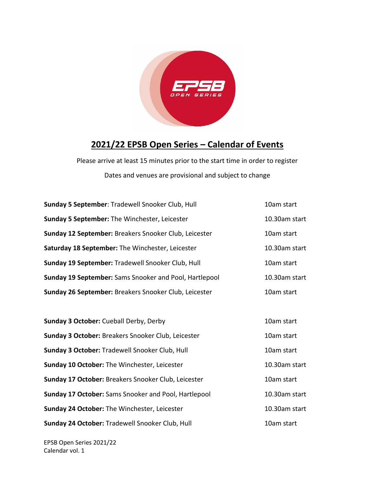

## **2021/22 EPSB Open Series – Calendar of Events**

Please arrive at least 15 minutes prior to the start time in order to register Dates and venues are provisional and subject to change

| 10am start    |
|---------------|
| 10.30am start |
| 10am start    |
| 10.30am start |
| 10am start    |
| 10.30am start |
| 10am start    |
|               |
| 10am start    |
| 10am start    |
| 10am start    |
|               |
| 10.30am start |
| 10am start    |
| 10.30am start |
|               |

**Sunday 24 October:** Tradewell Snooker Club, Hull 10am start 10am start

EPSB Open Series 2021/22 Calendar vol. 1